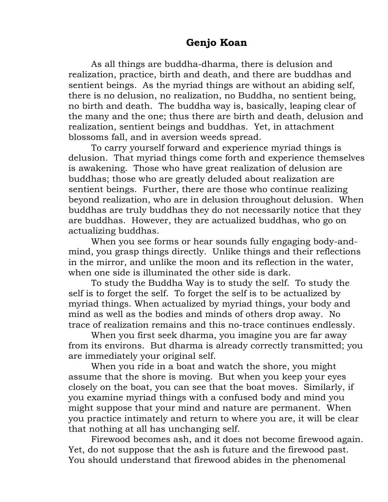As all things are buddha-dharma, there is delusion and realization, practice, birth and death, and there are buddhas and sentient beings. As the myriad things are without an abiding self, there is no delusion, no realization, no Buddha, no sentient being, no birth and death. The buddha way is, basically, leaping clear of the many and the one; thus there are birth and death, delusion and realization, sentient beings and buddhas. Yet, in attachment blossoms fall, and in aversion weeds spread.

To carry yourself forward and experience myriad things is delusion. That myriad things come forth and experience themselves is awakening. Those who have great realization of delusion are buddhas; those who are greatly deluded about realization are sentient beings. Further, there are those who continue realizing beyond realization, who are in delusion throughout delusion. When buddhas are truly buddhas they do not necessarily notice that they are buddhas. However, they are actualized buddhas, who go on actualizing buddhas.

When you see forms or hear sounds fully engaging body-andmind, you grasp things directly. Unlike things and their reflections in the mirror, and unlike the moon and its reflection in the water, when one side is illuminated the other side is dark.

To study the Buddha Way is to study the self. To study the self is to forget the self. To forget the self is to be actualized by myriad things. When actualized by myriad things, your body and mind as well as the bodies and minds of others drop away. No trace of realization remains and this no-trace continues endlessly.

When you first seek dharma, you imagine you are far away from its environs. But dharma is already correctly transmitted; you are immediately your original self.

When you ride in a boat and watch the shore, you might assume that the shore is moving. But when you keep your eyes closely on the boat, you can see that the boat moves. Similarly, if you examine myriad things with a confused body and mind you might suppose that your mind and nature are permanent. When you practice intimately and return to where you are, it will be clear that nothing at all has unchanging self.

Firewood becomes ash, and it does not become firewood again. Yet, do not suppose that the ash is future and the firewood past. You should understand that firewood abides in the phenomenal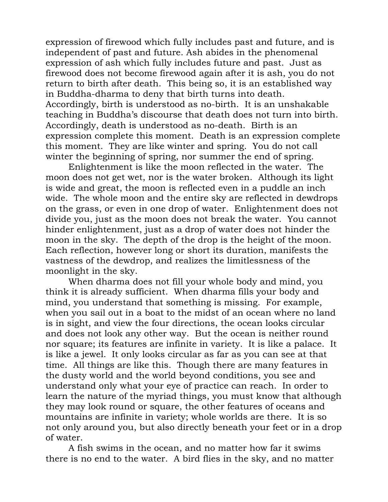expression of firewood which fully includes past and future, and is independent of past and future. Ash abides in the phenomenal expression of ash which fully includes future and past. Just as firewood does not become firewood again after it is ash, you do not return to birth after death. This being so, it is an established way in Buddha-dharma to deny that birth turns into death. Accordingly, birth is understood as no-birth. It is an unshakable teaching in Buddha's discourse that death does not turn into birth. Accordingly, death is understood as no-death. Birth is an expression complete this moment. Death is an expression complete this moment. They are like winter and spring. You do not call winter the beginning of spring, nor summer the end of spring.

Enlightenment is like the moon reflected in the water. The moon does not get wet, nor is the water broken. Although its light is wide and great, the moon is reflected even in a puddle an inch wide. The whole moon and the entire sky are reflected in dewdrops on the grass, or even in one drop of water. Enlightenment does not divide you, just as the moon does not break the water. You cannot hinder enlightenment, just as a drop of water does not hinder the moon in the sky. The depth of the drop is the height of the moon. Each reflection, however long or short its duration, manifests the vastness of the dewdrop, and realizes the limitlessness of the moonlight in the sky.

When dharma does not fill your whole body and mind, you think it is already sufficient. When dharma fills your body and mind, you understand that something is missing. For example, when you sail out in a boat to the midst of an ocean where no land is in sight, and view the four directions, the ocean looks circular and does not look any other way. But the ocean is neither round nor square; its features are infinite in variety. It is like a palace. It is like a jewel. It only looks circular as far as you can see at that time. All things are like this. Though there are many features in the dusty world and the world beyond conditions, you see and understand only what your eye of practice can reach. In order to learn the nature of the myriad things, you must know that although they may look round or square, the other features of oceans and mountains are infinite in variety; whole worlds are there. It is so not only around you, but also directly beneath your feet or in a drop of water.

A fish swims in the ocean, and no matter how far it swims there is no end to the water. A bird flies in the sky, and no matter